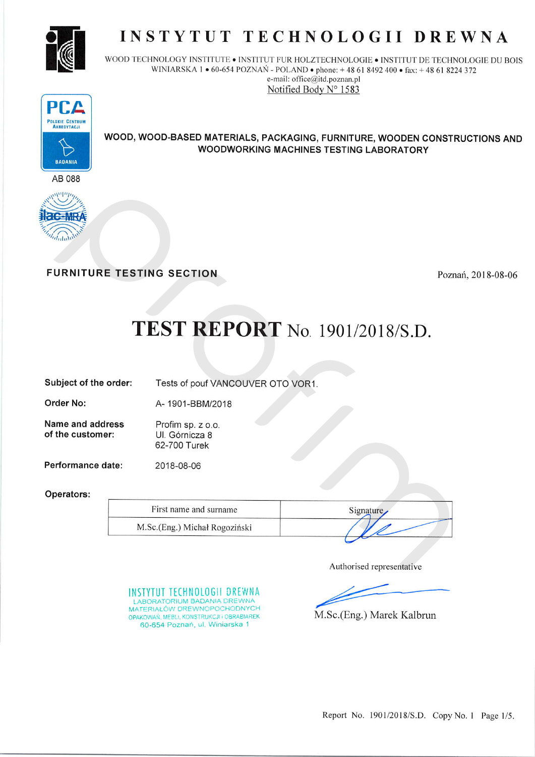

# INSTYTUT TECHNOLOGII DREWNA

WOOD TECHNOLOGY INSTITUTE . INSTITUT FUR HOLZTECHNOLOGIE . INSTITUT DE TECHNOLOGIE DU BOIS WINIARSKA 1 • 60-654 POZNAŃ - POLAND • phone: +48 61 8492 400 • fax: +48 61 8224 372 e-mail: office@itd.poznan.pl Notified Body N° 1583



WOOD, WOOD-BASED MATERIALS, PACKAGING, FURNITURE, WOODEN CONSTRUCTIONS AND **WOODWORKING MACHINES TESTING LABORATORY** 





**FURNITURE TESTING SECTION** 

Poznań, 2018-08-06

# **TEST REPORT** No. 1901/2018/S.D.

Subject of the order:

A-1901-BBM/2018

2018-08-06

INSTYTUT TECHNOLOGII DREWNA LABORATORIUM BADANIA DREWNA MATERIAŁÓW DREWNOPOCHODNYCH

OPAKOWAŃ, MEBLI, KONSTRUKCJI i OBRABIAREK 60-654 Poznań, ul. Winiarska 1

Tests of pouf VANCOUVER OTO VOR1.

Name and address Profim sp. z o.o. of the customer: Ul. Górnicza 8 62-700 Turek

Performance date:

Operators:

Order No:

| First name and surname        | Signature. |
|-------------------------------|------------|
| M.Sc.(Eng.) Michał Rogoziński |            |

Authorised representative

M.Sc.(Eng.) Marek Kalbrun

Report No. 1901/2018/S.D. Copy No. 1 Page 1/5.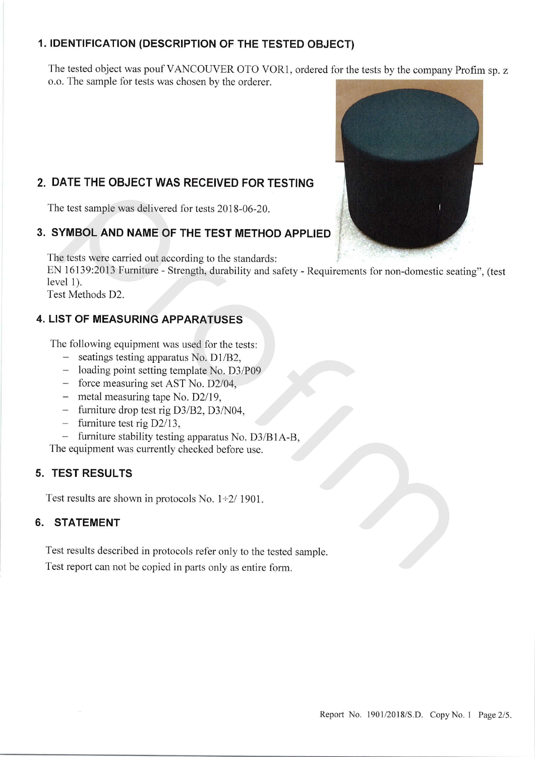# 1. lDENTlFlcATloN (DEscRlPTloN oF THE TESTED oBJEcT)

The tested object was pouf VANCOUVER OTO VOR1, ordered for the tests by the company Profim sp. z o.o. The sample for tests was chosen by the orderer.



# 2. DATE THE OBJECT WAS RECEIVED FOR TESTING

The test sample was delivered for tests 2018-06-20.

### 3. SYMBOL AND NAME OF THE TEST METHOD APPL|ED

The tests were carried out according to the standards:

EN 16139:2013 Fumiture - Strength, durability and safety - Requirements for non-domestic seating", (test level 1).

Test Methods D2.

# 4. LlsT oF MEASUR|NG APPARATUSES

The following equipment was used for the tests:

- 
- seatings testing apparatus No. D1/B2,<br>- loading point setting template No. D3/P09
- force measuring set AST No. D2/04,
- $-$  metal measuring tape No. D2/19,
- $-$  furniture drop test rig D3/B2, D3/N04,
- $-$  furniture test rig D2/13,
- furniture stability testing apparatus No. D3/B1A-B,

The equipment was currently checked before use.

#### 5. TEST RESULTS

Test results are shown in protocols No.  $1\div 2/1901$ .

#### 6. STATEMENT

Test results described in protocols refer only to the tested sample. Test report can not be copied in parts only as entire form.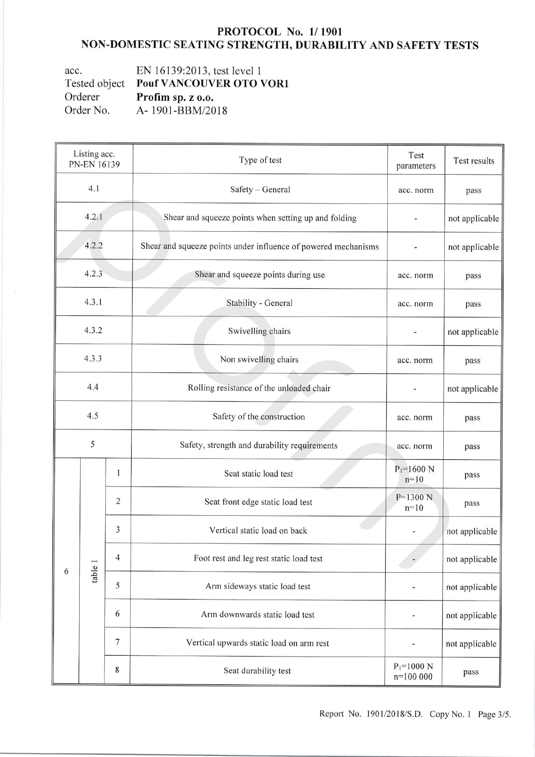#### PROTOCOL No. 1/1901 NON-DOMESTIC SEATING STRENGTH, DURABILITY AND SAFETY TESTS

EN 16139:2013, test level 1 acc. Tested object Pouf VANCOUVER OTO VOR1 Orderer Profim sp. z o.o. Order No. A-1901-BBM/2018

| Listing acc.<br>PN-EN 16139 |         |                | Type of test                                                   | Test<br>parameters           | Test results   |                |
|-----------------------------|---------|----------------|----------------------------------------------------------------|------------------------------|----------------|----------------|
|                             | 4.1     |                | Safety - General                                               | acc. norm                    | pass           |                |
| 4.2.1                       |         |                | Shear and squeeze points when setting up and folding           |                              | not applicable |                |
|                             | 4.2.2   |                | Shear and squeeze points under influence of powered mechanisms |                              | not applicable |                |
|                             | 4.2.3   |                | Shear and squeeze points during use                            | acc. norm                    | pass           |                |
| 4.3.1                       |         |                | Stability - General                                            | acc. norm                    | pass           |                |
| 4.3.2                       |         |                | Swivelling chairs                                              |                              | not applicable |                |
| 4.3.3                       |         |                | Non swivelling chairs                                          | acc. norm                    | pass           |                |
| 4.4                         |         |                | Rolling resistance of the unloaded chair                       |                              | not applicable |                |
| 4.5                         |         |                | Safety of the construction                                     | acc. norm                    | pass           |                |
| 5                           |         |                | Safety, strength and durability requirements                   | acc. norm                    | pass           |                |
|                             | table 1 | 1              | Seat static load test                                          | $P_1 = 1600$ N<br>$n=10$     | pass           |                |
|                             |         | $\overline{2}$ | Seat front edge static load test                               | $P = 1300 N$<br>$n=10$       | pass           |                |
| 6                           |         |                | 3                                                              | Vertical static load on back |                | not applicable |
|                             |         | $\overline{4}$ | Foot rest and leg rest static load test                        |                              | not applicable |                |
|                             |         | 5              | Arm sideways static load test                                  |                              | not applicable |                |
|                             |         | 6              | Arm downwards static load test                                 |                              | not applicable |                |
|                             |         | $\overline{7}$ | Vertical upwards static load on arm rest                       |                              | not applicable |                |
|                             |         | 8              | Seat durability test                                           | $P_1 = 1000 N$<br>$n=100000$ | pass           |                |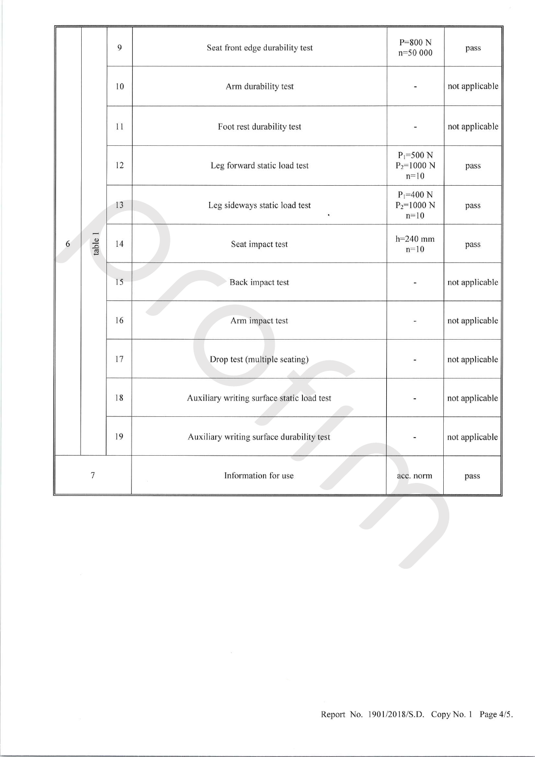|   | table 1          | $\overline{9}$ | Seat front edge durability test            | $P=800 N$<br>n=50 000                     | pass           |
|---|------------------|----------------|--------------------------------------------|-------------------------------------------|----------------|
|   |                  | 10             | Arm durability test                        |                                           | not applicable |
|   |                  | 11             | Foot rest durability test                  |                                           | not applicable |
|   |                  | 12             | Leg forward static load test               | $P_1 = 500 N$<br>$P_2 = 1000$ N<br>$n=10$ | pass           |
|   |                  | 13             | Leg sideways static load test<br>$\bullet$ | $P_1 = 400 N$<br>$P_2 = 1000 N$<br>$n=10$ | pass           |
| 6 |                  | 14             | Seat impact test                           | $h=240$ mm<br>$n=10$                      | pass           |
|   |                  | 15             | Back impact test                           |                                           | not applicable |
|   |                  | 16             | Arm impact test                            |                                           | not applicable |
|   |                  | 17             | Drop test (multiple seating)               |                                           | not applicable |
|   |                  | 18             | Auxiliary writing surface static load test |                                           | not applicable |
|   |                  | 19             | Auxiliary writing surface durability test  |                                           | not applicable |
|   | $\boldsymbol{7}$ |                | Information for use                        | acc. norm                                 | pass           |
|   |                  |                |                                            |                                           |                |
|   |                  |                |                                            |                                           |                |